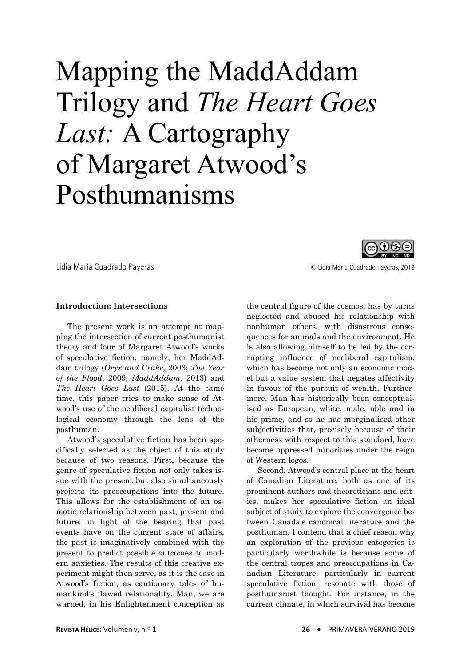# Mapping the MaddAddam Trilogy and *The Heart Goes Last:* A Cartography of Margaret Atwood's Posthumanisms

Lidia María Cuadrado Payeras © Lidia María Cuadrado Payeras, 2019

 $\Omega$ (ர் $\mathcal{S}$ 

#### **Introduction: Intersections**

 The present work is an attempt at mapping the intersection of current posthumanist theory and four of Margaret Atwood's works of speculative fiction, namely, her MaddAddam trilogy (*Oryx and Crake,* 2003; *The Year of the Flood*, 2009; *MaddAddam*, 2013) and *The Heart Goes Last* (2015). At the same time, this paper tries to make sense of Atwood's use of the neoliberal capitalist technological economy through the lens of the posthuman.

 Atwood's speculative fiction has been specifically selected as the object of this study because of two reasons. First, because the genre of speculative fiction not only takes issue with the present but also simultaneously projects its preoccupations into the future. This allows for the establishment of an osmotic relationship between past, present and future: in light of the bearing that past events have on the current state of affairs, the past is imaginatively combined with the present to predict possible outcomes to modern anxieties. The results of this creative experiment might then serve, as it is the case in Atwood's fiction, as cautionary tales of humankind's flawed relationality. Man, we are warned, in his Enlightenment conception as the central figure of the cosmos, has by turns neglected and abused his relationship with nonhuman others, with disastrous consequences for animals and the environment. He is also allowing himself to be led by the corrupting influence of neoliberal capitalism, which has become not only an economic model but a value system that negates affectivity in favour of the pursuit of wealth. Furthermore, Man has historically been conceptualised as European, white, male, able and in his prime, and so he has marginalised other subjectivities that, precisely because of their otherness with respect to this standard, have become oppressed minorities under the reign of Western logos.

 Second, Atwood's central place at the heart of Canadian Literature, both as one of its prominent authors and theoreticians and critics, makes her speculative fiction an ideal subject of study to explore the convergence between Canada's canonical literature and the posthuman. I contend that a chief reason why an exploration of the previous categories is particularly worthwhile is because some of the central tropes and preoccupations in Canadian Literature, particularly in current speculative fiction, resonate with those of posthumanist thought. For instance, in the current climate, in which survival has become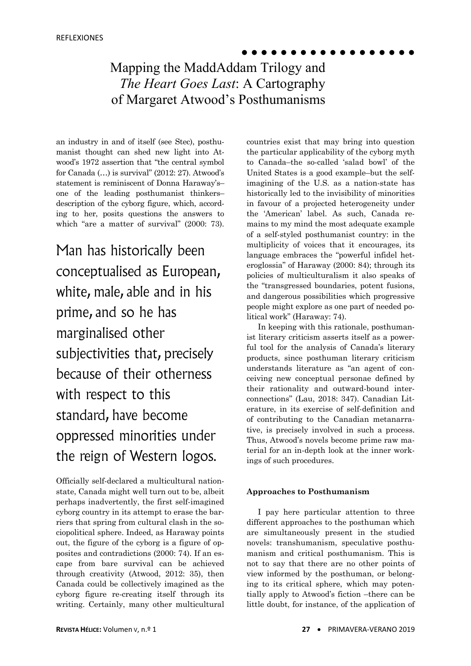an industry in and of itself (see Stec), posthumanist thought can shed new light into Atwood's 1972 assertion that "the central symbol for Canada (…) is survival" (2012: 27). Atwood's statement is reminiscent of Donna Haraway's– one of the leading posthumanist thinkers– description of the cyborg figure, which, according to her, posits questions the answers to which "are a matter of survival" (2000: 73).

Man has historically been conceptualised as European, white, male, able and in his prime, and so he has marginalised other subjectivities that, precisely because of their otherness with respect to this standard, have become oppressed minorities under the reign of Western logos.

Officially self-declared a multicultural nationstate, Canada might well turn out to be, albeit perhaps inadvertently, the first self-imagined cyborg country in its attempt to erase the barriers that spring from cultural clash in the sociopolitical sphere. Indeed, as Haraway points out, the figure of the cyborg is a figure of opposites and contradictions (2000: 74). If an escape from bare survival can be achieved through creativity (Atwood, 2012: 35), then Canada could be collectively imagined as the cyborg figure re-creating itself through its writing. Certainly, many other multicultural

countries exist that may bring into question the particular applicability of the cyborg myth to Canada–the so-called 'salad bowl' of the United States is a good example–but the selfimagining of the U.S. as a nation-state has historically led to the invisibility of minorities in favour of a projected heterogeneity under the 'American' label. As such, Canada remains to my mind the most adequate example of a self-styled posthumanist country: in the multiplicity of voices that it encourages, its language embraces the "powerful infidel heteroglossia" of Haraway (2000: 84); through its policies of multiculturalism it also speaks of the "transgressed boundaries, potent fusions, and dangerous possibilities which progressive people might explore as one part of needed political work" (Haraway: 74).

 In keeping with this rationale, posthumanist literary criticism asserts itself as a powerful tool for the analysis of Canada's literary products, since posthuman literary criticism understands literature as "an agent of conceiving new conceptual personae defined by their rationality and outward-bound interconnections" (Lau, 2018: 347). Canadian Literature, in its exercise of self-definition and of contributing to the Canadian metanarrative, is precisely involved in such a process. Thus, Atwood's novels become prime raw material for an in-depth look at the inner workings of such procedures.

#### **Approaches to Posthumanism**

I pay here particular attention to three different approaches to the posthuman which are simultaneously present in the studied novels: transhumanism, speculative posthumanism and critical posthumanism. This is not to say that there are no other points of view informed by the posthuman, or belonging to its critical sphere, which may potentially apply to Atwood's fiction –there can be little doubt, for instance, of the application of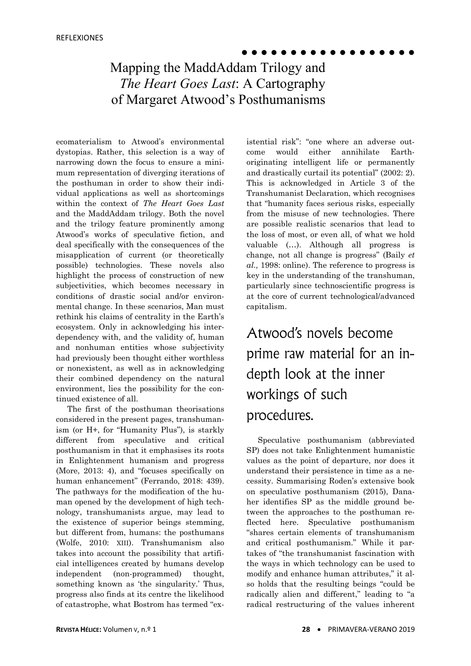ecomaterialism to Atwood's environmental dystopias. Rather, this selection is a way of narrowing down the focus to ensure a minimum representation of diverging iterations of the posthuman in order to show their individual applications as well as shortcomings within the context of *The Heart Goes Last* and the MaddAddam trilogy. Both the novel and the trilogy feature prominently among Atwood's works of speculative fiction, and deal specifically with the consequences of the misapplication of current (or theoretically possible) technologies. These novels also highlight the process of construction of new subjectivities, which becomes necessary in conditions of drastic social and/or environmental change. In these scenarios, Man must rethink his claims of centrality in the Earth's ecosystem. Only in acknowledging his interdependency with, and the validity of, human and nonhuman entities whose subjectivity had previously been thought either worthless or nonexistent, as well as in acknowledging their combined dependency on the natural environment, lies the possibility for the continued existence of all.

 The first of the posthuman theorisations considered in the present pages, transhumanism (or H+, for "Humanity Plus"), is starkly different from speculative and critical posthumanism in that it emphasises its roots in Enlightenment humanism and progress (More, 2013: 4), and "focuses specifically on human enhancement" (Ferrando, 2018: 439). The pathways for the modification of the human opened by the development of high technology, transhumanists argue, may lead to the existence of superior beings stemming, but different from, humans: the posthumans (Wolfe, 2010: XIII). Transhumanism also takes into account the possibility that artificial intelligences created by humans develop independent (non-programmed) thought, something known as 'the singularity.' Thus, progress also finds at its centre the likelihood of catastrophe, what Bostrom has termed "existential risk": "one where an adverse outcome would either annihilate Earthoriginating intelligent life or permanently and drastically curtail its potential" (2002: 2). This is acknowledged in Article 3 of the Transhumanist Declaration, which recognises that "humanity faces serious risks, especially from the misuse of new technologies. There are possible realistic scenarios that lead to the loss of most, or even all, of what we hold valuable (…). Although all progress is change, not all change is progress" (Baily *et al.,* 1998: online). The reference to progress is key in the understanding of the transhuman, particularly since technoscientific progress is at the core of current technological/advanced capitalism.

# Atwood's novels become prime raw material for an indepth look at the inner workings of such procedures.

 Speculative posthumanism (abbreviated SP) does not take Enlightenment humanistic values as the point of departure, nor does it understand their persistence in time as a necessity. Summarising Roden's extensive book on speculative posthumanism (2015), Danaher identifies SP as the middle ground between the approaches to the posthuman reflected here. Speculative posthumanism "shares certain elements of transhumanism and critical posthumanism." While it partakes of "the transhumanist fascination with the ways in which technology can be used to modify and enhance human attributes," it also holds that the resulting beings "could be radically alien and different," leading to "a radical restructuring of the values inherent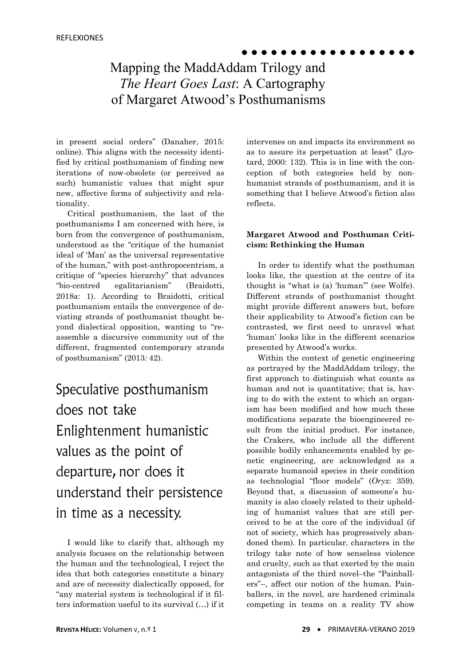in present social orders" (Danaher, 2015: online). This aligns with the necessity identified by critical posthumanism of finding new iterations of now-obsolete (or perceived as such) humanistic values that might spur new, affective forms of subjectivity and relationality.

Critical posthumanism, the last of the posthumanisms I am concerned with here, is born from the convergence of posthumanism, understood as the "critique of the humanist ideal of 'Man' as the universal representative of the human," with post-anthropocentrism, a critique of "species hierarchy" that advances "bio-centred egalitarianism" (Braidotti, 2018a: 1). According to Braidotti, critical posthumanism entails the convergence of deviating strands of posthumanist thought beyond dialectical opposition, wanting to "reassemble a discursive community out of the different, fragmented contemporary strands of posthumanism" (2013*:* 42).

Speculative posthumanism does not take Enlightenment humanistic values as the point of departure, nor does it understand their persistence in time as a necessity.

I would like to clarify that, although my analysis focuses on the relationship between the human and the technological, I reject the idea that both categories constitute a binary and are of necessity dialectically opposed, for "any material system is technological if it filters information useful to its survival (…) if it intervenes on and impacts its environment so as to assure its perpetuation at least" (Lyotard, 2000: 132). This is in line with the conception of both categories held by nonhumanist strands of posthumanism, and it is something that I believe Atwood's fiction also reflects.

#### **Margaret Atwood and Posthuman Criticism: Rethinking the Human**

In order to identify what the posthuman looks like, the question at the centre of its thought is "what is (a) 'human'" (see Wolfe). Different strands of posthumanist thought might provide different answers but, before their applicability to Atwood's fiction can be contrasted, we first need to unravel what 'human' looks like in the different scenarios presented by Atwood's works.

 Within the context of genetic engineering as portrayed by the MaddAddam trilogy, the first approach to distinguish what counts as human and not is quantitative; that is, having to do with the extent to which an organism has been modified and how much these modifications separate the bioengineered result from the initial product. For instance, the Crakers, who include all the different possible bodily enhancements enabled by genetic engineering, are acknowledged as a separate humanoid species in their condition as technologial "floor models" (*Oryx*: 359). Beyond that, a discussion of someone's humanity is also closely related to their upholding of humanist values that are still perceived to be at the core of the individual (if not of society, which has progressively abandoned them). In particular, characters in the trilogy take note of how senseless violence and cruelty, such as that exerted by the main antagonists of the third novel–the "Painballers"–, affect our notion of the human. Painballers, in the novel, are hardened criminals competing in teams on a reality TV show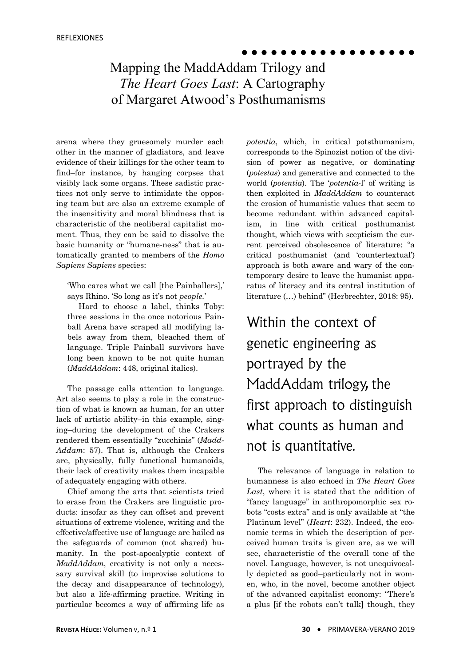arena where they gruesomely murder each other in the manner of gladiators, and leave evidence of their killings for the other team to find–for instance, by hanging corpses that visibly lack some organs. These sadistic practices not only serve to intimidate the opposing team but are also an extreme example of the insensitivity and moral blindness that is characteristic of the neoliberal capitalist moment. Thus, they can be said to dissolve the basic humanity or "humane-ness" that is automatically granted to members of the *Homo Sapiens Sapiens* species:

'Who cares what we call [the Painballers],' says Rhino. 'So long as it's not *people.*'

 Hard to choose a label, thinks Toby: three sessions in the once notorious Painball Arena have scraped all modifying labels away from them, bleached them of language. Triple Painball survivors have long been known to be not quite human (*MaddAddam*: 448, original italics).

 The passage calls attention to language. Art also seems to play a role in the construction of what is known as human, for an utter lack of artistic ability–in this example, singing–during the development of the Crakers rendered them essentially "zucchinis" (*Madd-Addam*: 57). That is, although the Crakers are, physically, fully functional humanoids, their lack of creativity makes them incapable of adequately engaging with others.

 Chief among the arts that scientists tried to erase from the Crakers are linguistic products: insofar as they can offset and prevent situations of extreme violence, writing and the effective/affective use of language are hailed as the safeguards of common (not shared) humanity. In the post-apocalyptic context of *MaddAddam*, creativity is not only a necessary survival skill (to improvise solutions to the decay and disappearance of technology), but also a life-affirming practice. Writing in particular becomes a way of affirming life as

*potentia*, which, in critical potsthumanism, corresponds to the Spinozist notion of the division of power as negative, or dominating (*potestas*) and generative and connected to the world (*potentia*). The '*potentia-*l' of writing is then exploited in *MaddAddam* to counteract the erosion of humanistic values that seem to become redundant within advanced capitalism, in line with critical posthumanist thought, which views with scepticism the current perceived obsolescence of literature: "a critical posthumanist (and 'countertextual') approach is both aware and wary of the contemporary desire to leave the humanist apparatus of literacy and its central institution of literature (…) behind" (Herbrechter, 2018: 95).

# Within the context of genetic engineering as portrayed by the MaddAddam trilogy, the first approach to distinguish what counts as human and not is quantitative.

 The relevance of language in relation to humanness is also echoed in *The Heart Goes Last*, where it is stated that the addition of "fancy language" in anthropomorphic sex robots "costs extra" and is only available at "the Platinum level" (*Heart*: 232). Indeed, the economic terms in which the description of perceived human traits is given are, as we will see, characteristic of the overall tone of the novel. Language, however, is not unequivocally depicted as good–particularly not in women, who, in the novel, become another object of the advanced capitalist economy: "There's a plus [if the robots can't talk] though, they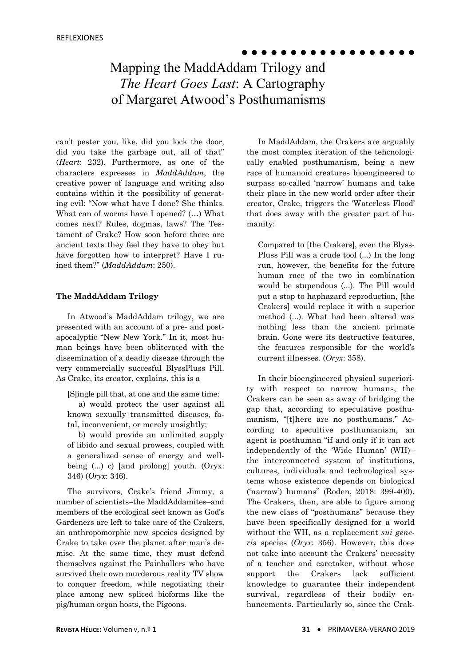can't pester you, like, did you lock the door, did you take the garbage out, all of that" (*Heart*: 232). Furthermore, as one of the characters expresses in *MaddAddam*, the creative power of language and writing also contains within it the possibility of generating evil: "Now what have I done? She thinks. What can of worms have I opened? (…) What comes next? Rules, dogmas, laws? The Testament of Crake? How soon before there are ancient texts they feel they have to obey but have forgotten how to interpret? Have I ruined them?" (*MaddAddam*: 250).

#### **The MaddAddam Trilogy**

In Atwood's MaddAddam trilogy, we are presented with an account of a pre- and postapocalyptic "New New York." In it, most human beings have been obliterated with the dissemination of a deadly disease through the very commercially succesful BlyssPluss Pill. As Crake, its creator, explains, this is a

[S]ingle pill that, at one and the same time:

 a) would protect the user against all known sexually transmitted diseases, fatal, inconvenient, or merely unsightly;

 b) would provide an unlimited supply of libido and sexual prowess, coupled with a generalized sense of energy and wellbeing (...) c) [and prolong] youth. (Oryx: 346) (*Oryx*: 346).

 The survivors, Crake's friend Jimmy, a number of scientists–the MaddAddamites–and members of the ecological sect known as God's Gardeners are left to take care of the Crakers, an anthropomorphic new species designed by Crake to take over the planet after man's demise. At the same time, they must defend themselves against the Painballers who have survived their own murderous reality TV show to conquer freedom, while negotiating their place among new spliced bioforms like the pig/human organ hosts, the Pigoons.

 In MaddAddam, the Crakers are arguably the most complex iteration of the tehcnologically enabled posthumanism, being a new race of humanoid creatures bioengineered to surpass so-called 'narrow' humans and take their place in the new world order after their creator, Crake, triggers the 'Waterless Flood' that does away with the greater part of humanity:

Compared to [the Crakers], even the Blyss-Pluss Pill was a crude tool (...) In the long run, however, the benefits for the future human race of the two in combination would be stupendous (...). The Pill would put a stop to haphazard reproduction, [the Crakers] would replace it with a superior method (...). What had been altered was nothing less than the ancient primate brain. Gone were its destructive features, the features responsible for the world's current illnesses*.* (*Oryx*: 358).

 In their bioengineered physical superiority with respect to narrow humans, the Crakers can be seen as away of bridging the gap that, according to speculative posthumanism, "[t]here are no posthumans." According to specultive posthumanism, an agent is posthuman "if and only if it can act independently of the 'Wide Human' (WH)– the interconnected system of institutions, cultures, individuals and technological systems whose existence depends on biological ('narrow') humans" (Roden, 2018: 399-400). The Crakers, then, are able to figure among the new class of "posthumans" because they have been specifically designed for a world without the WH, as a replacement *sui generis* species (*Oryx*: 356). However, this does not take into account the Crakers' necessity of a teacher and caretaker, without whose support the Crakers lack sufficient knowledge to guarantee their independent survival, regardless of their bodily enhancements. Particularly so, since the Crak-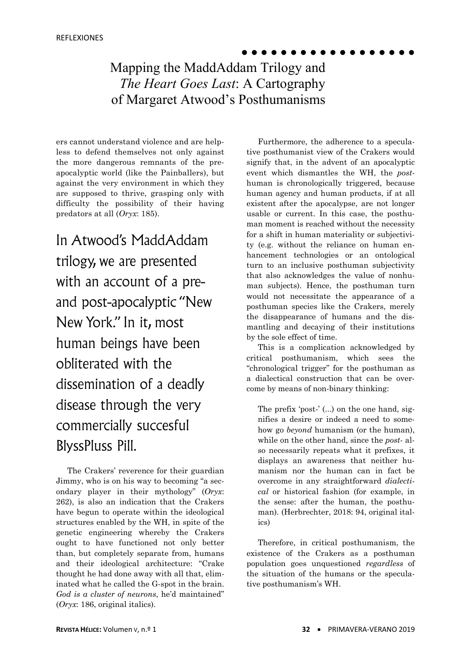ers cannot understand violence and are helpless to defend themselves not only against the more dangerous remnants of the preapocalyptic world (like the Painballers), but against the very environment in which they are supposed to thrive, grasping only with difficulty the possibility of their having predators at all (*Oryx*: 185).

In Atwood's MaddAddam trilogy, we are presented with an account of a preand post-apocalyptic "New New York." In it, most human beings have been obliterated with the dissemination of a deadly disease through the very commercially succesful BlyssPluss Pill.

 The Crakers' reverence for their guardian Jimmy, who is on his way to becoming "a secondary player in their mythology" (*Oryx*: 262), is also an indication that the Crakers have begun to operate within the ideological structures enabled by the WH, in spite of the genetic engineering whereby the Crakers ought to have functioned not only better than, but completely separate from, humans and their ideological architecture: "Crake thought he had done away with all that, eliminated what he called the G-spot in the brain. *God is a cluster of neurons*, he'd maintained" (*Oryx*: 186, original italics).

 Furthermore, the adherence to a speculative posthumanist view of the Crakers would signify that, in the advent of an apocalyptic event which dismantles the WH, the *post*human is chronologically triggered, because human agency and human products, if at all existent after the apocalypse, are not longer usable or current. In this case, the posthuman moment is reached without the necessity for a shift in human materiality or subjectivity (e.g. without the reliance on human enhancement technologies or an ontological turn to an inclusive posthuman subjectivity that also acknowledges the value of nonhuman subjects). Hence, the posthuman turn would not necessitate the appearance of a posthuman species like the Crakers, merely the disappearance of humans and the dismantling and decaying of their institutions by the sole effect of time.

 This is a complication acknowledged by critical posthumanism, which sees the "chronological trigger" for the posthuman as a dialectical construction that can be overcome by means of non-binary thinking:

The prefix 'post-' (...) on the one hand, signifies a desire or indeed a need to somehow go *beyond* humanism (or the human), while on the other hand, since the *post-* also necessarily repeats what it prefixes, it displays an awareness that neither humanism nor the human can in fact be overcome in any straightforward *dialectical* or historical fashion (for example, in the sense: after the human, the posthuman). (Herbrechter, 2018: 94, original italics)

 Therefore, in critical posthumanism, the existence of the Crakers as a posthuman population goes unquestioned *regardless* of the situation of the humans or the speculative posthumanism's WH.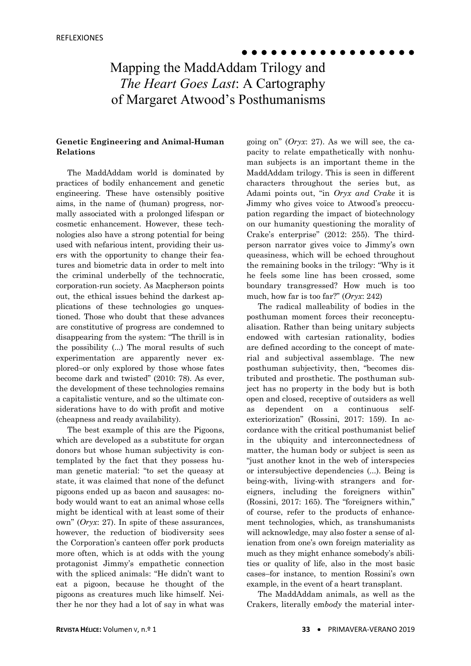#### **Genetic Engineering and Animal-Human Relations**

The MaddAddam world is dominated by practices of bodily enhancement and genetic engineering. These have ostensibly positive aims, in the name of (human) progress, normally associated with a prolonged lifespan or cosmetic enhancement. However, these technologies also have a strong potential for being used with nefarious intent, providing their users with the opportunity to change their features and biometric data in order to melt into the criminal underbelly of the technocratic, corporation-run society. As Macpherson points out, the ethical issues behind the darkest applications of these technologies go unquestioned. Those who doubt that these advances are constitutive of progress are condemned to disappearing from the system: "The thrill is in the possibility (...) The moral results of such experimentation are apparently never explored–or only explored by those whose fates become dark and twisted" (2010: 78). As ever, the development of these technologies remains a capitalistic venture, and so the ultimate considerations have to do with profit and motive (cheapness and ready availability).

 The best example of this are the Pigoons, which are developed as a substitute for organ donors but whose human subjectivity is contemplated by the fact that they possess human genetic material: "to set the queasy at state, it was claimed that none of the defunct pigoons ended up as bacon and sausages: nobody would want to eat an animal whose cells might be identical with at least some of their own" (*Oryx*: 27). In spite of these assurances, however, the reduction of biodiversity sees the Corporation's canteen offer pork products more often, which is at odds with the young protagonist Jimmy's empathetic connection with the spliced animals: "He didn't want to eat a pigoon, because he thought of the pigoons as creatures much like himself. Neither he nor they had a lot of say in what was

going on" (*Oryx*: 27). As we will see, the capacity to relate empathetically with nonhuman subjects is an important theme in the MaddAddam trilogy. This is seen in different characters throughout the series but, as Adami points out, "in *Oryx and Crake* it is Jimmy who gives voice to Atwood's preoccupation regarding the impact of biotechnology on our humanity questioning the morality of Crake's enterprise" (2012: 255). The thirdperson narrator gives voice to Jimmy's own queasiness, which will be echoed throughout the remaining books in the trilogy: "Why is it he feels some line has been crossed, some boundary transgressed? How much is too much, how far is too far?" (*Oryx*: 242)

 The radical malleability of bodies in the posthuman moment forces their reconceptualisation. Rather than being unitary subjects endowed with cartesian rationality, bodies are defined according to the concept of material and subjectival assemblage. The new posthuman subjectivity, then, "becomes distributed and prosthetic. The posthuman subject has no property in the body but is both open and closed, receptive of outsiders as well as dependent on a continuous selfexteriorization" (Rossini, 2017: 159). In accordance with the critical posthumanist belief in the ubiquity and interconnectedness of matter, the human body or subject is seen as "just another knot in the web of interspecies or intersubjective dependencies (...). Being is being-with, living-with strangers and foreigners, including the foreigners within" (Rossini, 2017: 165). The "foreigners within," of course, refer to the products of enhancement technologies, which, as transhumanists will acknowledge, may also foster a sense of alienation from one's own foreign materiality as much as they might enhance somebody's abilities or quality of life, also in the most basic cases–for instance, to mention Rossini's own example, in the event of a heart transplant.

The MaddAddam animals, as well as the Crakers, literally em*body* the material inter-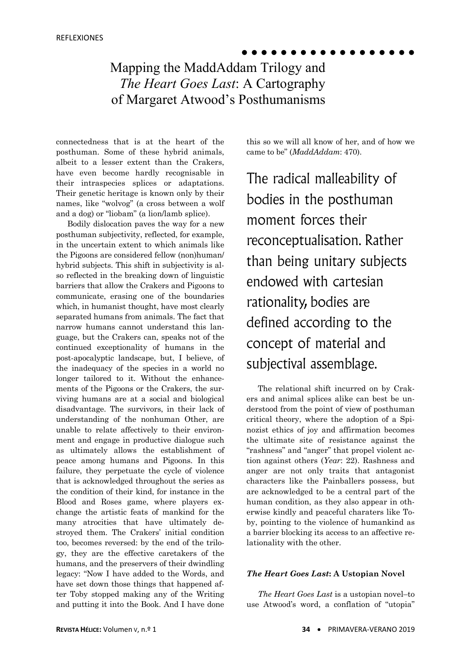connectedness that is at the heart of the posthuman. Some of these hybrid animals, albeit to a lesser extent than the Crakers, have even become hardly recognisable in their intraspecies splices or adaptations. Their genetic heritage is known only by their names, like "wolvog" (a cross between a wolf and a dog) or "liobam" (a lion/lamb splice).

 Bodily dislocation paves the way for a new posthuman subjectivity, reflected, for example, in the uncertain extent to which animals like the Pigoons are considered fellow (non)human/ hybrid subjects. This shift in subjectivity is also reflected in the breaking down of linguistic barriers that allow the Crakers and Pigoons to communicate, erasing one of the boundaries which, in humanist thought, have most clearly separated humans from animals. The fact that narrow humans cannot understand this language, but the Crakers can, speaks not of the continued exceptionality of humans in the post-apocalyptic landscape, but, I believe, of the inadequacy of the species in a world no longer tailored to it. Without the enhancements of the Pigoons or the Crakers, the surviving humans are at a social and biological disadvantage. The survivors, in their lack of understanding of the nonhuman Other, are unable to relate affectively to their environment and engage in productive dialogue such as ultimately allows the establishment of peace among humans and Pigoons. In this failure, they perpetuate the cycle of violence that is acknowledged throughout the series as the condition of their kind, for instance in the Blood and Roses game, where players exchange the artistic feats of mankind for the many atrocities that have ultimately destroyed them. The Crakers' initial condition too, becomes reversed: by the end of the trilogy, they are the effective caretakers of the humans, and the preservers of their dwindling legacy: "Now I have added to the Words, and have set down those things that happened after Toby stopped making any of the Writing and putting it into the Book. And I have done

this so we will all know of her, and of how we came to be" (*MaddAddam*: 470).

The radical malleability of bodies in the posthuman moment forces their reconceptualisation. Rather than being unitary subjects endowed with cartesian rationality, bodies are defined according to the concept of material and subjectival assemblage.

 The relational shift incurred on by Crakers and animal splices alike can best be understood from the point of view of posthuman critical theory, where the adoption of a Spinozist ethics of joy and affirmation becomes the ultimate site of resistance against the "rashness" and "anger" that propel violent action against others (*Year*: 22). Rashness and anger are not only traits that antagonist characters like the Painballers possess, but are acknowledged to be a central part of the human condition, as they also appear in otherwise kindly and peaceful charaters like Toby, pointing to the violence of humankind as a barrier blocking its access to an affective relationality with the other.

#### *The Heart Goes Last***: A Ustopian Novel**

*The Heart Goes Last* is a ustopian novel–to use Atwood's word, a conflation of "utopia"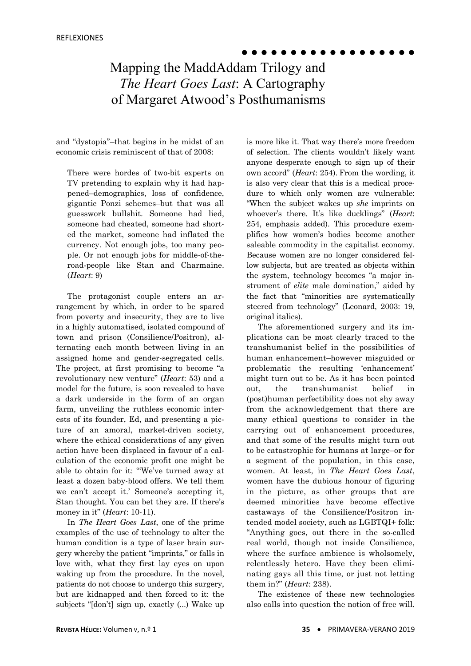and "dystopia"–that begins in he midst of an economic crisis reminiscent of that of 2008:

There were hordes of two-bit experts on TV pretending to explain why it had happened–demographics, loss of confidence, gigantic Ponzi schemes–but that was all guesswork bullshit. Someone had lied, someone had cheated, someone had shorted the market, someone had inflated the currency. Not enough jobs, too many people. Or not enough jobs for middle-of-theroad-people like Stan and Charmaine. (*Heart*: 9)

 The protagonist couple enters an arrangement by which, in order to be spared from poverty and insecurity, they are to live in a highly automatised, isolated compound of town and prison (Consilience/Positron), alternating each month between living in an assigned home and gender-segregated cells. The project, at first promising to become "a revolutionary new venture" (*Heart*: 53) and a model for the future, is soon revealed to have a dark underside in the form of an organ farm, unveiling the ruthless economic interests of its founder, Ed, and presenting a picture of an amoral, market-driven society, where the ethical considerations of any given action have been displaced in favour of a calculation of the economic profit one might be able to obtain for it: "'We've turned away at least a dozen baby-blood offers. We tell them we can't accept it.' Someone's accepting it, Stan thought. You can bet they are. If there's money in it" (*Heart*: 10-11).

 In *The Heart Goes Last*, one of the prime examples of the use of technology to alter the human condition is a type of laser brain surgery whereby the patient "imprints," or falls in love with, what they first lay eyes on upon waking up from the procedure. In the novel, patients do not choose to undergo this surgery, but are kidnapped and then forced to it: the subjects "[don't] sign up, exactly (...) Wake up is more like it. That way there's more freedom of selection. The clients wouldn't likely want anyone desperate enough to sign up of their own accord" (*Heart*: 254). From the wording, it is also very clear that this is a medical procedure to which only women are vulnerable: "When the subject wakes up *she* imprints on whoever's there. It's like ducklings" (*Heart*: 254, emphasis added). This procedure exemplifies how women's bodies become another saleable commodity in the capitalist economy. Because women are no longer considered fellow subjects, but are treated as objects within the system, technology becomes "a major instrument of *elite* male domination," aided by the fact that "minorities are systematically steered from technology" (Leonard, 2003: 19, original italics).

 The aforementioned surgery and its implications can be most clearly traced to the transhumanist belief in the possibilities of human enhancement–however misguided or problematic the resulting 'enhancement' might turn out to be. As it has been pointed out, the transhumanist belief in (post)human perfectibility does not shy away from the acknowledgement that there are many ethical questions to consider in the carrying out of enhancement procedures, and that some of the results might turn out to be catastrophic for humans at large–or for a segment of the population, in this case, women. At least, in *The Heart Goes Last*, women have the dubious honour of figuring in the picture, as other groups that are deemed minorities have become effective castaways of the Consilience/Positron intended model society, such as LGBTQI+ folk: "Anything goes, out there in the so-called real world, though not inside Consilience, where the surface ambience is wholsomely. relentlessly hetero. Have they been eliminating gays all this time, or just not letting them in?" (*Heart*: 238).

 The existence of these new technologies also calls into question the notion of free will.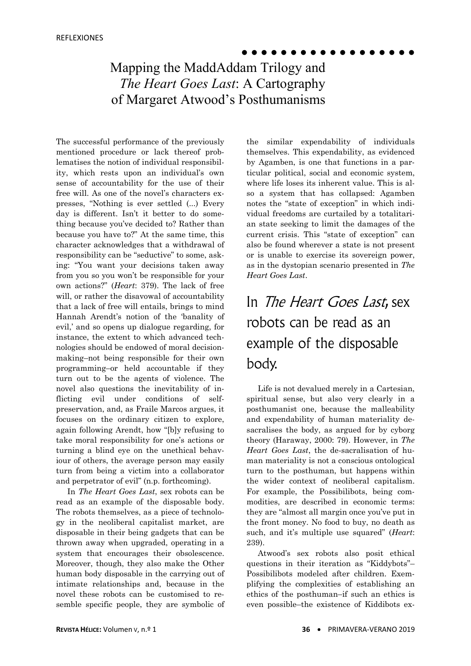The successful performance of the previously mentioned procedure or lack thereof problematises the notion of individual responsibility, which rests upon an individual's own sense of accountability for the use of their free will. As one of the novel's characters expresses, "Nothing is ever settled (...) Every day is different. Isn't it better to do something because you've decided to? Rather than because you have to?" At the same time, this character acknowledges that a withdrawal of responsibility can be "seductive" to some, asking: "You want your decisions taken away from you so you won't be responsible for your own actions?" (*Heart*: 379). The lack of free will, or rather the disavowal of accountability that a lack of free will entails, brings to mind Hannah Arendt's notion of the 'banality of evil,' and so opens up dialogue regarding, for instance, the extent to which advanced technologies should be endowed of moral decisionmaking–not being responsible for their own programming–or held accountable if they turn out to be the agents of violence. The novel also questions the inevitability of inflicting evil under conditions of selfpreservation, and, as Fraile Marcos argues, it focuses on the ordinary citizen to explore, again following Arendt, how "[b]y refusing to take moral responsibility for one's actions or turning a blind eye on the unethical behaviour of others, the average person may easily turn from being a victim into a collaborator and perpetrator of evil" (n.p. forthcoming).

 In *The Heart Goes Last*, sex robots can be read as an example of the disposable body. The robots themselves, as a piece of technology in the neoliberal capitalist market, are disposable in their being gadgets that can be thrown away when upgraded, operating in a system that encourages their obsolescence. Moreover, though, they also make the Other human body disposable in the carrying out of intimate relationships and, because in the novel these robots can be customised to resemble specific people, they are symbolic of the similar expendability of individuals themselves. This expendability, as evidenced by Agamben, is one that functions in a particular political, social and economic system, where life loses its inherent value. This is also a system that has collapsed: Agamben notes the "state of exception" in which individual freedoms are curtailed by a totalitarian state seeking to limit the damages of the current crisis. This "state of exception" can also be found wherever a state is not present or is unable to exercise its sovereign power, as in the dystopian scenario presented in *The Heart Goes Last*.

# In *The Heart Goes Last*, sex robots can be read as an example of the disposable body.

 Life is not devalued merely in a Cartesian, spiritual sense, but also very clearly in a posthumanist one, because the malleability and expendability of human materiality desacralises the body, as argued for by cyborg theory (Haraway, 2000: 79). However, in *The Heart Goes Last*, the de-sacralisation of human materiality is not a conscious ontological turn to the posthuman, but happens within the wider context of neoliberal capitalism. For example, the Possibilibots, being commodities, are described in economic terms: they are "almost all margin once you've put in the front money. No food to buy, no death as such, and it's multiple use squared" (*Heart*: 239).

 Atwood's sex robots also posit ethical questions in their iteration as "Kiddybots"– Possibilibots modeled after children. Exemplifying the complexities of establishing an ethics of the posthuman–if such an ethics is even possible–the existence of Kiddibots ex-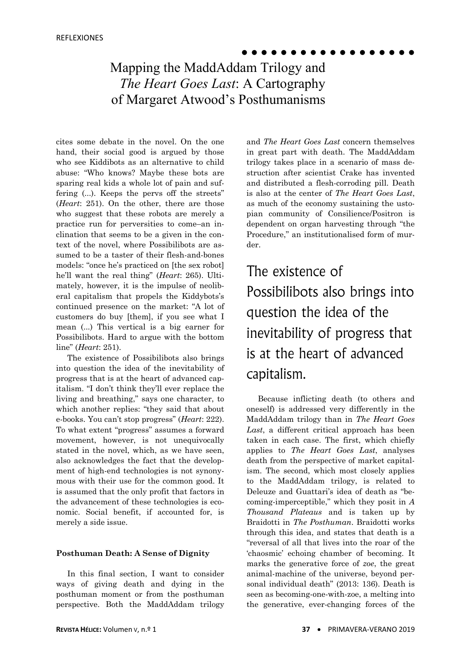cites some debate in the novel. On the one hand, their social good is argued by those who see Kiddibots as an alternative to child abuse: "Who knows? Maybe these bots are sparing real kids a whole lot of pain and suffering (...). Keeps the pervs off the streets" (*Heart*: 251). On the other, there are those who suggest that these robots are merely a practice run for perversities to come–an inclination that seems to be a given in the context of the novel, where Possibilibots are assumed to be a taster of their flesh-and-bones models: "once he's practiced on [the sex robot] he'll want the real thing" (*Heart*: 265). Ultimately, however, it is the impulse of neoliberal capitalism that propels the Kiddybots's continued presence on the market: "A lot of customers do buy [them], if you see what I mean (...) This vertical is a big earner for Possibilibots. Hard to argue with the bottom line" (*Heart*: 251).

 The existence of Possibilibots also brings into question the idea of the inevitability of progress that is at the heart of advanced capitalism. "I don't think they'll ever replace the living and breathing," says one character, to which another replies: "they said that about e-books. You can't stop progress" (*Heart*: 222). To what extent "progress" assumes a forward movement, however, is not unequivocally stated in the novel, which, as we have seen, also acknowledges the fact that the development of high-end technologies is not synonymous with their use for the common good. It is assumed that the only profit that factors in the advancement of these technologies is economic. Social benefit, if accounted for, is merely a side issue.

#### **Posthuman Death: A Sense of Dignity**

In this final section, I want to consider ways of giving death and dying in the posthuman moment or from the posthuman perspective. Both the MaddAddam trilogy and *The Heart Goes Last* concern themselves in great part with death. The MaddAddam trilogy takes place in a scenario of mass destruction after scientist Crake has invented and distributed a flesh-corroding pill. Death is also at the center of *The Heart Goes Last*, as much of the economy sustaining the ustopian community of Consilience/Positron is dependent on organ harvesting through "the Procedure," an institutionalised form of murder.

The existence of Possibilibots also brings into question the idea of the inevitability of progress that is at the heart of advanced capitalism.

 Because inflicting death (to others and oneself) is addressed very differently in the MaddAddam trilogy than in *The Heart Goes Last*, a different critical approach has been taken in each case. The first, which chiefly applies to *The Heart Goes Last*, analyses death from the perspective of market capitalism. The second, which most closely applies to the MaddAddam trilogy, is related to Deleuze and Guattari's idea of death as "becoming-imperceptible," which they posit in *A Thousand Plateaus* and is taken up by Braidotti in *The Posthuman*. Braidotti works through this idea, and states that death is a "reversal of all that lives into the roar of the 'chaosmic' echoing chamber of becoming. It marks the generative force of *zoe*, the great animal-machine of the universe, beyond personal individual death" (2013: 136). Death is seen as becoming-one-with-zoe, a melting into the generative, ever-changing forces of the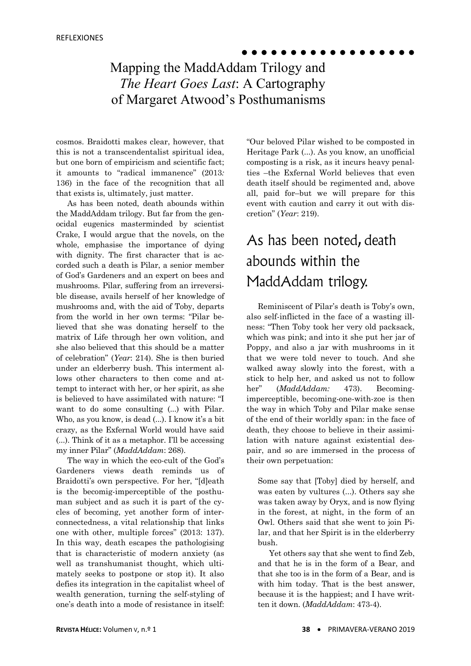cosmos. Braidotti makes clear, however, that this is not a transcendentalist spiritual idea, but one born of empiricism and scientific fact; it amounts to "radical immanence" (2013*:*  136) in the face of the recognition that all that exists is, ultimately, just matter.

As has been noted, death abounds within the MaddAddam trilogy. But far from the genocidal eugenics masterminded by scientist Crake, I would argue that the novels, on the whole, emphasise the importance of dying with dignity. The first character that is accorded such a death is Pilar, a senior member of God's Gardeners and an expert on bees and mushrooms. Pilar, suffering from an irreversible disease, avails herself of her knowledge of mushrooms and, with the aid of Toby, departs from the world in her own terms: "Pilar believed that she was donating herself to the matrix of Life through her own volition, and she also believed that this should be a matter of celebration" (*Year*: 214). She is then buried under an elderberry bush. This interment allows other characters to then come and attempt to interact with her, or her spirit, as she is believed to have assimilated with nature: "I want to do some consulting  $(...)$  with Pilar. Who, as you know, is dead (...). I know it's a bit crazy, as the Exfernal World would have said (...). Think of it as a metaphor. I'll be accessing my inner Pilar" (*MaddAddam*: 268).

 The way in which the eco-cult of the God's Gardeners views death reminds us of Braidotti's own perspective. For her, "[d]eath is the becomig-imperceptible of the posthuman subject and as such it is part of the cycles of becoming, yet another form of interconnectedness, a vital relationship that links one with other, multiple forces" (2013: 137). In this way, death escapes the pathologising that is characteristic of modern anxiety (as well as transhumanist thought, which ultimately seeks to postpone or stop it). It also defies its integration in the capitalist wheel of wealth generation, turning the self-styling of one's death into a mode of resistance in itself:

"Our beloved Pilar wished to be composted in Heritage Park (...). As you know, an unofficial composting is a risk, as it incurs heavy penalties –the Exfernal World believes that even death itself should be regimented and, above all, paid for–but we will prepare for this event with caution and carry it out with discretion" (*Year*: 219).

## As has been noted, death abounds within the MaddAddam trilogy.

 Reminiscent of Pilar's death is Toby's own, also self-inflicted in the face of a wasting illness: "Then Toby took her very old packsack, which was pink; and into it she put her jar of Poppy, and also a jar with mushrooms in it that we were told never to touch. And she walked away slowly into the forest, with a stick to help her, and asked us not to follow her" (*MaddAddam:* 473). Becomingimperceptible, becoming-one-with-zoe is then the way in which Toby and Pilar make sense of the end of their worldly span: in the face of death, they choose to believe in their assimilation with nature against existential despair, and so are immersed in the process of their own perpetuation:

Some say that [Toby] died by herself, and was eaten by vultures (...). Others say she was taken away by Oryx, and is now flying in the forest, at night, in the form of an Owl. Others said that she went to join Pilar, and that her Spirit is in the elderberry bush.

 Yet others say that she went to find Zeb, and that he is in the form of a Bear, and that she too is in the form of a Bear, and is with him today. That is the best answer, because it is the happiest; and I have written it down. (*MaddAddam*: 473-4).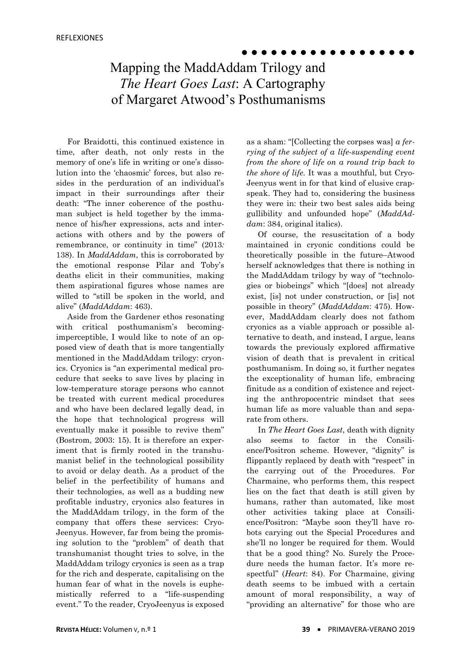For Braidotti, this continued existence in time, after death, not only rests in the memory of one's life in writing or one's dissolution into the 'chaosmic' forces, but also resides in the perduration of an individual's impact in their surroundings after their death: "The inner coherence of the posthuman subject is held together by the immanence of his/her expressions, acts and interactions with others and by the powers of remembrance, or continuity in time" (2013*:*  138). In *MaddAddam*, this is corroborated by the emotional response Pilar and Toby's deaths elicit in their communities, making them aspirational figures whose names are willed to "still be spoken in the world, and alive" (*MaddAddam*: 463).

 Aside from the Gardener ethos resonating with critical posthumanism's becomingimperceptible, I would like to note of an opposed view of death that is more tangentially mentioned in the MaddAddam trilogy: cryonics. Cryonics is "an experimental medical procedure that seeks to save lives by placing in low-temperature storage persons who cannot be treated with current medical procedures and who have been declared legally dead, in the hope that technological progress will eventually make it possible to revive them" (Bostrom, 2003: 15). It is therefore an experiment that is firmly rooted in the transhumanist belief in the technological possibility to avoid or delay death. As a product of the belief in the perfectibility of humans and their technologies, as well as a budding new profitable industry, cryonics also features in the MaddAddam trilogy, in the form of the company that offers these services: Cryo-Jeenyus. However, far from being the promising solution to the "problem" of death that transhumanist thought tries to solve, in the MaddAddam trilogy cryonics is seen as a trap for the rich and desperate, capitalising on the human fear of what in the novels is euphemistically referred to a "life-suspending event." To the reader, CryoJeenyus is exposed

as a sham: "[Collecting the corpses was] *a ferrying of the subject of a life-suspending event from the shore of life on a round trip back to the shore of life.* It was a mouthful, but Cryo-Jeenyus went in for that kind of elusive crapspeak. They had to, considering the business they were in: their two best sales aids being gullibility and unfounded hope" (*MaddAddam*: 384, original italics).

Of course, the resuscitation of a body maintained in cryonic conditions could be theoretically possible in the future–Atwood herself acknowledges that there is nothing in the MaddAddam trilogy by way of "technologies or biobeings" which "[does] not already exist, [is] not under construction, or [is] not possible in theory" (*MaddAddam*: 475)*.* However, MaddAddam clearly does not fathom cryonics as a viable approach or possible alternative to death, and instead, I argue, leans towards the previously explored affirmative vision of death that is prevalent in critical posthumanism. In doing so, it further negates the exceptionality of human life, embracing finitude as a condition of existence and rejecting the anthropocentric mindset that sees human life as more valuable than and separate from others.

In *The Heart Goes Last*, death with dignity also seems to factor in the Consilience/Positron scheme. However, "dignity" is flippantly replaced by death with "respect" in the carrying out of the Procedures. For Charmaine, who performs them, this respect lies on the fact that death is still given by humans, rather than automated, like most other activities taking place at Consilience/Positron: "Maybe soon they'll have robots carying out the Special Procedures and she'll no longer be required for them. Would that be a good thing? No. Surely the Procedure needs the human factor. It's more respectful" (*Heart*: 84). For Charmaine, giving death seems to be imbued with a certain amount of moral responsibility, a way of "providing an alternative" for those who are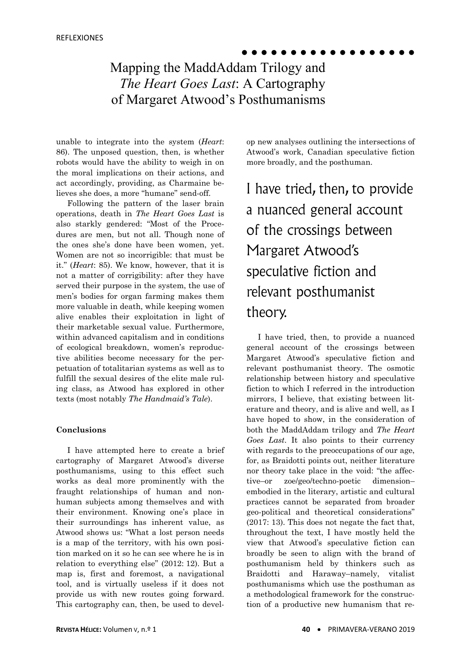unable to integrate into the system (*Heart*: 86). The unposed question, then, is whether robots would have the ability to weigh in on the moral implications on their actions, and act accordingly, providing, as Charmaine believes she does, a more "humane" send-off.

 Following the pattern of the laser brain operations, death in *The Heart Goes Last* is also starkly gendered: "Most of the Procedures are men, but not all. Though none of the ones she's done have been women, yet. Women are not so incorrigible: that must be it." (*Heart*: 85). We know, however, that it is not a matter of corrigibility: after they have served their purpose in the system, the use of men's bodies for organ farming makes them more valuable in death, while keeping women alive enables their exploitation in light of their marketable sexual value. Furthermore, within advanced capitalism and in conditions of ecological breakdown, women's reproductive abilities become necessary for the perpetuation of totalitarian systems as well as to fulfill the sexual desires of the elite male ruling class, as Atwood has explored in other texts (most notably *The Handmaid's Tale*).

#### **Conclusions**

I have attempted here to create a brief cartography of Margaret Atwood's diverse posthumanisms, using to this effect such works as deal more prominently with the fraught relationships of human and nonhuman subjects among themselves and with their environment. Knowing one's place in their surroundings has inherent value, as Atwood shows us: "What a lost person needs is a map of the territory, with his own position marked on it so he can see where he is in relation to everything else" (2012: 12). But a map is, first and foremost, a navigational tool, and is virtually useless if it does not provide us with new routes going forward. This cartography can, then, be used to develop new analyses outlining the intersections of Atwood's work, Canadian speculative fiction more broadly, and the posthuman.

# I have tried, then, to provide a nuanced general account of the crossings between Margaret Atwood's speculative fiction and relevant posthumanist theory.

 I have tried, then, to provide a nuanced general account of the crossings between Margaret Atwood's speculative fiction and relevant posthumanist theory. The osmotic relationship between history and speculative fiction to which I referred in the introduction mirrors, I believe, that existing between literature and theory, and is alive and well, as I have hoped to show, in the consideration of both the MaddAddam trilogy and *The Heart Goes Last*. It also points to their currency with regards to the preoccupations of our age, for, as Braidotti points out, neither literature nor theory take place in the void: "the affective–or zoe/geo/techno-poetic dimension– embodied in the literary, artistic and cultural practices cannot be separated from broader geo-political and theoretical considerations" (2017: 13). This does not negate the fact that, throughout the text, I have mostly held the view that Atwood's speculative fiction can broadly be seen to align with the brand of posthumanism held by thinkers such as Braidotti and Haraway–namely, vitalist posthumanisms which use the posthuman as a methodological framework for the construction of a productive new humanism that re-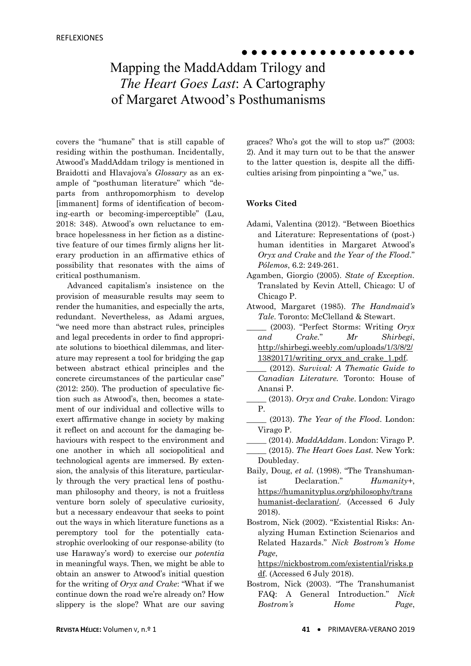covers the "humane" that is still capable of residing within the posthuman. Incidentally, Atwood's MaddAddam trilogy is mentioned in Braidotti and Hlavajova's *Glossary* as an example of "posthuman literature" which "departs from anthropomorphism to develop [immanent] forms of identification of becoming-earth or becoming-imperceptible" (Lau, 2018: 348). Atwood's own reluctance to embrace hopelessness in her fiction as a distinctive feature of our times firmly aligns her literary production in an affirmative ethics of possibility that resonates with the aims of critical posthumanism.

 Advanced capitalism's insistence on the provision of measurable results may seem to render the humanities, and especially the arts, redundant. Nevertheless, as Adami argues, "we need more than abstract rules, principles and legal precedents in order to find appropriate solutions to bioethical dilemmas, and literature may represent a tool for bridging the gap between abstract ethical principles and the concrete circumstances of the particular case" (2012: 250). The production of speculative fiction such as Atwood's, then, becomes a statement of our individual and collective wills to exert affirmative change in society by making it reflect on and account for the damaging behaviours with respect to the environment and one another in which all sociopolitical and technological agents are immersed. By extension, the analysis of this literature, particularly through the very practical lens of posthuman philosophy and theory, is not a fruitless venture born solely of speculative curiosity, but a necessary endeavour that seeks to point out the ways in which literature functions as a peremptory tool for the potentially catastrophic overlooking of our response-ability (to use Haraway's word) to exercise our *potentia* in meaningful ways. Then, we might be able to obtain an answer to Atwood's initial question for the writing of *Oryx and Crake*: "What if we continue down the road we're already on? How slippery is the slope? What are our saving

graces? Who's got the will to stop us?" (2003: 2). And it may turn out to be that the answer to the latter question is, despite all the difficulties arising from pinpointing a "we," us.

#### **Works Cited**

- Adami, Valentina (2012). "Between Bioethics and Literature: Representations of (post-) human identities in Margaret Atwood's *Oryx and Crake* and *the Year of the Flood*." *Pólemos*, 6.2: 249-261.
- Agamben, Giorgio (2005). *State of Exception.* Translated by Kevin Attell, Chicago: U of Chicago P.
- Atwood, Margaret (1985). *The Handmaid's Tale*. Toronto: McClelland & Stewart.
- \_\_\_\_\_ (2003). "Perfect Storms: Writing *Oryx and Crake.*" *Mr Shirbegi*, http://shirbegi.weebly.com/uploads/1/3/8/2/ 13820171/writing oryx and crake 1.pdf.
- \_\_\_\_\_ (2012). *Survival: A Thematic Guide to Canadian Literature.* Toronto: House of Anansi P.
- \_\_\_\_\_ (2013). *Oryx and Crake*. London: Virago P.
- \_\_\_\_\_ (2013). *The Year of the Flood*. London: Virago P.
- \_\_\_\_\_ (2014). *MaddAddam*. London: Virago P.
- \_\_\_\_\_ (2015). *The Heart Goes Last.* New York: Doubleday.
- Baily, Doug, *et al.* (1998). "The Transhumanist Declaration." *Humanity+*, https://humanityplus.org/philosophy/trans humanist-declaration/. (Accessed 6 July 2018).

Bostrom, Nick (2002). "Existential Risks: Analyzing Human Extinction Scienarios and Related Hazards." *Nick Bostrom's Home Page*,

https://nickbostrom.com/existential/risks.p df. (Accessed 6 July 2018).

Bostrom, Nick (2003). "The Transhumanist FAQ: A General Introduction." *Nick Bostrom's Home Page*,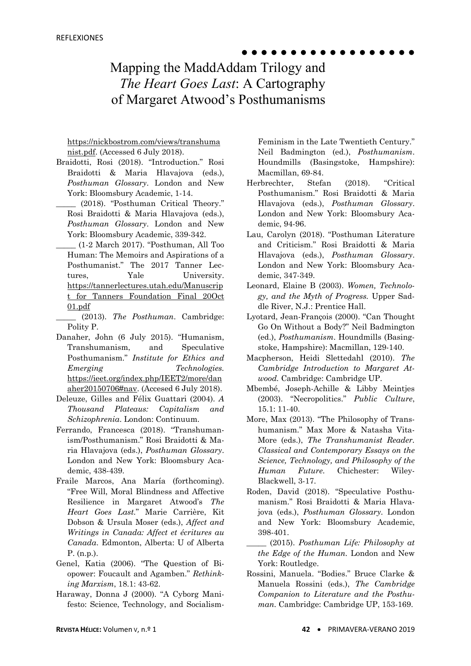#### . . . . . . . . . . . . . . . . . .

#### Mapping the MaddAddam Trilogy and *The Heart Goes Last*: A Cartography of Margaret Atwood's Posthumanisms

https://nickbostrom.com/views/transhuma nist.pdf. (Accessed 6 July 2018).

- Braidotti, Rosi (2018). "Introduction." Rosi Braidotti & Maria Hlavajova (eds.), *Posthuman Glossary*. London and New York: Bloomsbury Academic, 1-14.
	- \_\_\_\_\_ (2018). "Posthuman Critical Theory." Rosi Braidotti & Maria Hlavajova (eds.), *Posthuman Glossary*. London and New York: Bloomsbury Academic, 339-342.
- \_\_\_\_\_ (1-2 March 2017). "Posthuman, All Too Human: The Memoirs and Aspirations of a Posthumanist." The 2017 Tanner Lectures, Yale University. https://tannerlectures.utah.edu/Manuscrip t for Tanners Foundation Final 20Oct 01.pdf
- \_\_\_\_\_ (2013). *The Posthuman*. Cambridge: Polity P.
- Danaher, John (6 July 2015). "Humanism, Transhumanism, and Speculative Posthumanism." *Institute for Ethics and Emerging Technologies.*  https://ieet.org/index.php/IEET2/more/dan aher20150706#nav. (Accesed 6 July 2018).
- Deleuze, Gilles and Félix Guattari (2004). *A Thousand Plateaus: Capitalism and Schizophrenia*. London: Continuum.
- Ferrando, Francesca (2018). "Transhumanism/Posthumanism." Rosi Braidotti & Maria Hlavajova (eds.), *Posthuman Glossary*. London and New York: Bloomsbury Academic, 438-439.
- Fraile Marcos, Ana María (forthcoming). "Free Will, Moral Blindness and Affective Resilience in Margaret Atwood's *The Heart Goes Last.*" Marie Carrière, Kit Dobson & Ursula Moser (eds.), *Affect and Writings in Canada: Affect et écritures au Canada*. Edmonton, Alberta: U of Alberta P. (n.p.).
- Genel, Katia (2006). "The Question of Biopower: Foucault and Agamben." *Rethinking Marxism*, 18.1: 43-62.
- Haraway, Donna J (2000). "A Cyborg Manifesto: Science, Technology, and Socialism-

Feminism in the Late Twentieth Century." Neil Badmington (ed.), *Posthumanism*. Houndmills (Basingstoke, Hampshire): Macmillan, 69-84.

- Herbrechter, Stefan (2018). "Critical Posthumanism." Rosi Braidotti & Maria Hlavajova (eds.), *Posthuman Glossary*. London and New York: Bloomsbury Academic, 94-96.
- Lau, Carolyn (2018). "Posthuman Literature and Criticism." Rosi Braidotti & Maria Hlavajova (eds.), *Posthuman Glossary*. London and New York: Bloomsbury Academic, 347-349.
- Leonard, Elaine B (2003). *Women, Technology, and the Myth of Progress.* Upper Saddle River, N.J.: Prentice Hall.
- Lyotard, Jean-François (2000). "Can Thought Go On Without a Body?" Neil Badmington (ed.), *Posthumanism*. Houndmills (Basingstoke, Hampshire): Macmillan, 129-140.
- Macpherson, Heidi Slettedahl (2010). *The Cambridge Introduction to Margaret Atwood.* Cambridge: Cambridge UP.
- Mbembé, Joseph-Achille & Libby Meintjes (2003). "Necropolitics." *Public Culture*, 15.1: 11-40.
- More, Max (2013). "The Philosophy of Transhumanism." Max More & Natasha Vita-More (eds.), *The Transhumanist Reader. Classical and Contemporary Essays on the Science, Technology, and Philosophy of the Human Future*. Chichester: Wiley-Blackwell, 3-17.
- Roden, David (2018). "Speculative Posthumanism." Rosi Braidotti & Maria Hlavajova (eds.), *Posthuman Glossary*. London and New York: Bloomsbury Academic, 398-401.
- \_\_\_\_\_ (2015). *Posthuman Life: Philosophy at the Edge of the Human.* London and New York: Routledge.
- Rossini, Manuela. "Bodies." Bruce Clarke & Manuela Rossini (eds.), *The Cambridge Companion to Literature and the Posthuman.* Cambridge: Cambridge UP, 153-169.